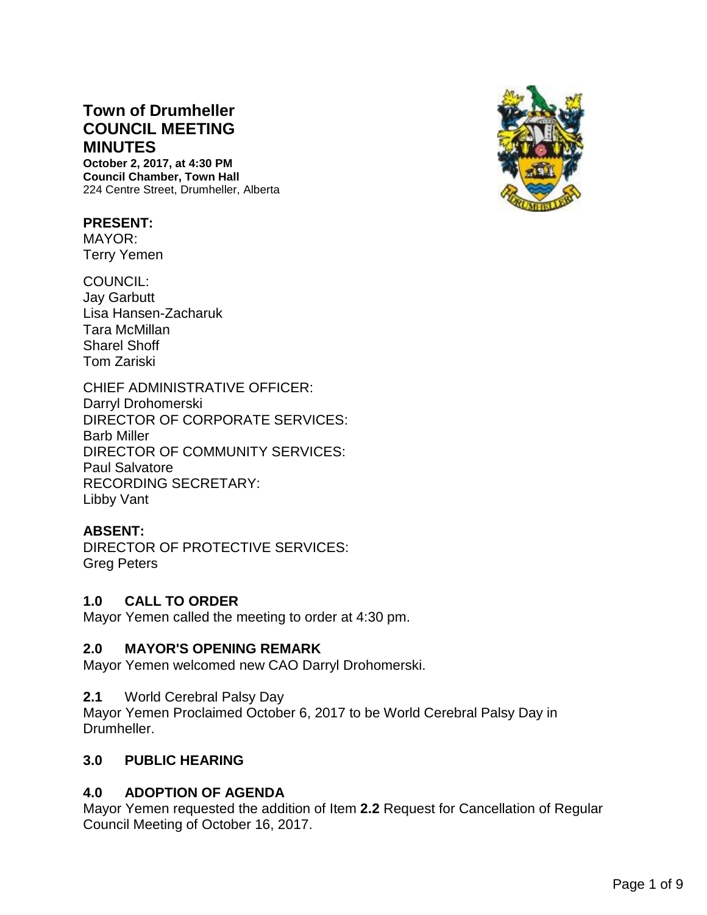# **Town of Drumheller COUNCIL MEETING MINUTES**

**October 2, 2017, at 4:30 PM Council Chamber, Town Hall** 224 Centre Street, Drumheller, Alberta

## **PRESENT:**

MAYOR: Terry Yemen

COUNCIL: Jay Garbutt Lisa Hansen-Zacharuk Tara McMillan Sharel Shoff Tom Zariski

CHIEF ADMINISTRATIVE OFFICER: Darryl Drohomerski DIRECTOR OF CORPORATE SERVICES: Barb Miller DIRECTOR OF COMMUNITY SERVICES: Paul Salvatore RECORDING SECRETARY: Libby Vant

## **ABSENT:**

DIRECTOR OF PROTECTIVE SERVICES: Greg Peters

### **1.0 CALL TO ORDER**

Mayor Yemen called the meeting to order at 4:30 pm.

### **2.0 MAYOR'S OPENING REMARK**

Mayor Yemen welcomed new CAO Darryl Drohomerski.

### **2.1** World Cerebral Palsy Day

Mayor Yemen Proclaimed October 6, 2017 to be World Cerebral Palsy Day in Drumheller.

### **3.0 PUBLIC HEARING**

## **4.0 ADOPTION OF AGENDA**

Mayor Yemen requested the addition of Item **2.2** Request for Cancellation of Regular Council Meeting of October 16, 2017.

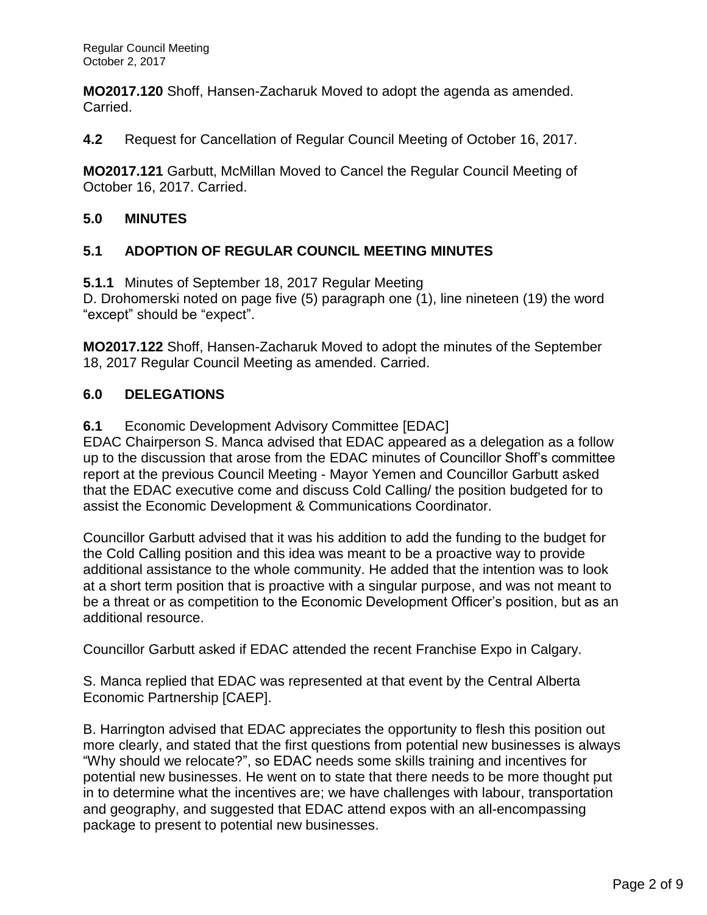**MO2017.120** Shoff, Hansen-Zacharuk Moved to adopt the agenda as amended. Carried.

**4.2** Request for Cancellation of Regular Council Meeting of October 16, 2017.

**MO2017.121** Garbutt, McMillan Moved to Cancel the Regular Council Meeting of October 16, 2017. Carried.

## **5.0 MINUTES**

## **5.1 ADOPTION OF REGULAR COUNCIL MEETING MINUTES**

**5.1.1** Minutes of September 18, 2017 Regular Meeting

D. Drohomerski noted on page five (5) paragraph one (1), line nineteen (19) the word "except" should be "expect".

**MO2017.122** Shoff, Hansen-Zacharuk Moved to adopt the minutes of the September 18, 2017 Regular Council Meeting as amended. Carried.

## **6.0 DELEGATIONS**

**6.1** Economic Development Advisory Committee [EDAC]

EDAC Chairperson S. Manca advised that EDAC appeared as a delegation as a follow up to the discussion that arose from the EDAC minutes of Councillor Shoff's committee report at the previous Council Meeting - Mayor Yemen and Councillor Garbutt asked that the EDAC executive come and discuss Cold Calling/ the position budgeted for to assist the Economic Development & Communications Coordinator.

Councillor Garbutt advised that it was his addition to add the funding to the budget for the Cold Calling position and this idea was meant to be a proactive way to provide additional assistance to the whole community. He added that the intention was to look at a short term position that is proactive with a singular purpose, and was not meant to be a threat or as competition to the Economic Development Officer's position, but as an additional resource.

Councillor Garbutt asked if EDAC attended the recent Franchise Expo in Calgary.

S. Manca replied that EDAC was represented at that event by the Central Alberta Economic Partnership [CAEP].

B. Harrington advised that EDAC appreciates the opportunity to flesh this position out more clearly, and stated that the first questions from potential new businesses is always "Why should we relocate?", so EDAC needs some skills training and incentives for potential new businesses. He went on to state that there needs to be more thought put in to determine what the incentives are; we have challenges with labour, transportation and geography, and suggested that EDAC attend expos with an all-encompassing package to present to potential new businesses.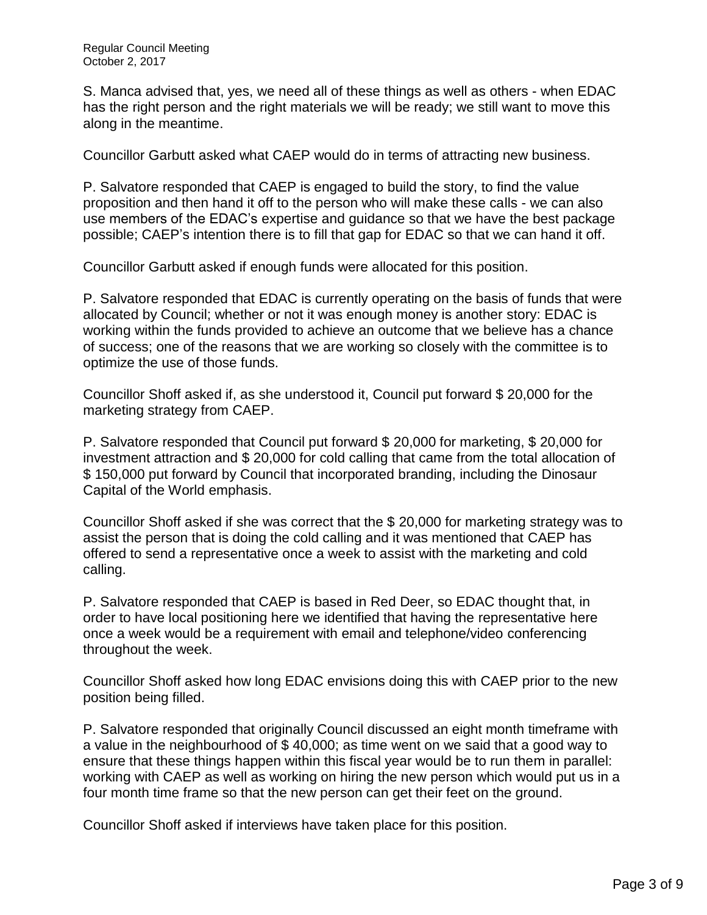S. Manca advised that, yes, we need all of these things as well as others - when EDAC has the right person and the right materials we will be ready; we still want to move this along in the meantime.

Councillor Garbutt asked what CAEP would do in terms of attracting new business.

P. Salvatore responded that CAEP is engaged to build the story, to find the value proposition and then hand it off to the person who will make these calls - we can also use members of the EDAC's expertise and guidance so that we have the best package possible; CAEP's intention there is to fill that gap for EDAC so that we can hand it off.

Councillor Garbutt asked if enough funds were allocated for this position.

P. Salvatore responded that EDAC is currently operating on the basis of funds that were allocated by Council; whether or not it was enough money is another story: EDAC is working within the funds provided to achieve an outcome that we believe has a chance of success; one of the reasons that we are working so closely with the committee is to optimize the use of those funds.

Councillor Shoff asked if, as she understood it, Council put forward \$ 20,000 for the marketing strategy from CAEP.

P. Salvatore responded that Council put forward \$ 20,000 for marketing, \$ 20,000 for investment attraction and \$ 20,000 for cold calling that came from the total allocation of \$ 150,000 put forward by Council that incorporated branding, including the Dinosaur Capital of the World emphasis.

Councillor Shoff asked if she was correct that the \$ 20,000 for marketing strategy was to assist the person that is doing the cold calling and it was mentioned that CAEP has offered to send a representative once a week to assist with the marketing and cold calling.

P. Salvatore responded that CAEP is based in Red Deer, so EDAC thought that, in order to have local positioning here we identified that having the representative here once a week would be a requirement with email and telephone/video conferencing throughout the week.

Councillor Shoff asked how long EDAC envisions doing this with CAEP prior to the new position being filled.

P. Salvatore responded that originally Council discussed an eight month timeframe with a value in the neighbourhood of \$ 40,000; as time went on we said that a good way to ensure that these things happen within this fiscal year would be to run them in parallel: working with CAEP as well as working on hiring the new person which would put us in a four month time frame so that the new person can get their feet on the ground.

Councillor Shoff asked if interviews have taken place for this position.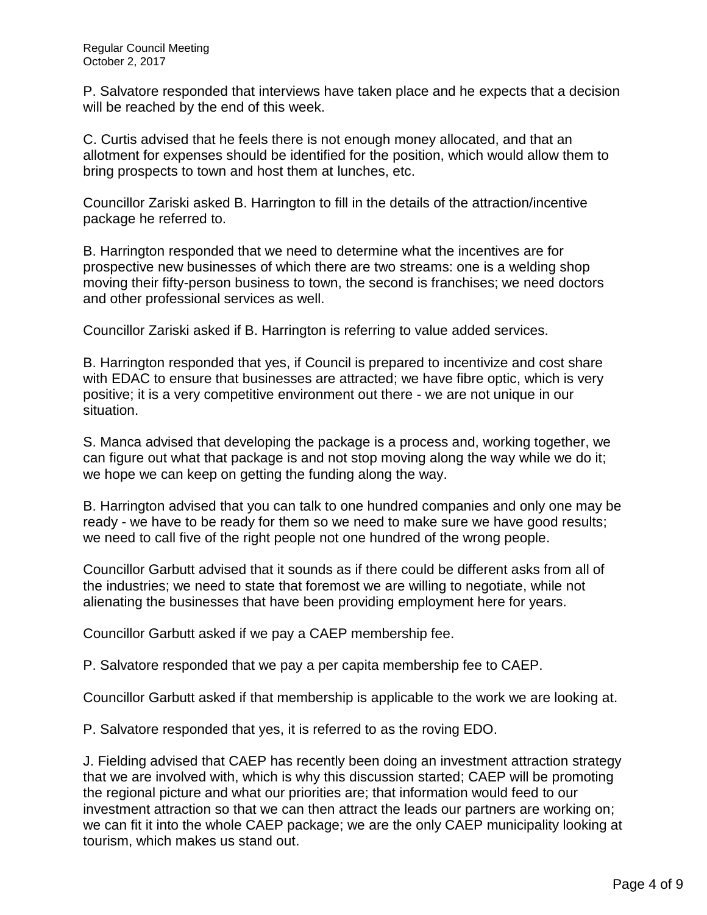P. Salvatore responded that interviews have taken place and he expects that a decision will be reached by the end of this week.

C. Curtis advised that he feels there is not enough money allocated, and that an allotment for expenses should be identified for the position, which would allow them to bring prospects to town and host them at lunches, etc.

Councillor Zariski asked B. Harrington to fill in the details of the attraction/incentive package he referred to.

B. Harrington responded that we need to determine what the incentives are for prospective new businesses of which there are two streams: one is a welding shop moving their fifty-person business to town, the second is franchises; we need doctors and other professional services as well.

Councillor Zariski asked if B. Harrington is referring to value added services.

B. Harrington responded that yes, if Council is prepared to incentivize and cost share with EDAC to ensure that businesses are attracted; we have fibre optic, which is very positive; it is a very competitive environment out there - we are not unique in our situation.

S. Manca advised that developing the package is a process and, working together, we can figure out what that package is and not stop moving along the way while we do it; we hope we can keep on getting the funding along the way.

B. Harrington advised that you can talk to one hundred companies and only one may be ready - we have to be ready for them so we need to make sure we have good results; we need to call five of the right people not one hundred of the wrong people.

Councillor Garbutt advised that it sounds as if there could be different asks from all of the industries; we need to state that foremost we are willing to negotiate, while not alienating the businesses that have been providing employment here for years.

Councillor Garbutt asked if we pay a CAEP membership fee.

P. Salvatore responded that we pay a per capita membership fee to CAEP.

Councillor Garbutt asked if that membership is applicable to the work we are looking at.

P. Salvatore responded that yes, it is referred to as the roving EDO.

J. Fielding advised that CAEP has recently been doing an investment attraction strategy that we are involved with, which is why this discussion started; CAEP will be promoting the regional picture and what our priorities are; that information would feed to our investment attraction so that we can then attract the leads our partners are working on; we can fit it into the whole CAEP package; we are the only CAEP municipality looking at tourism, which makes us stand out.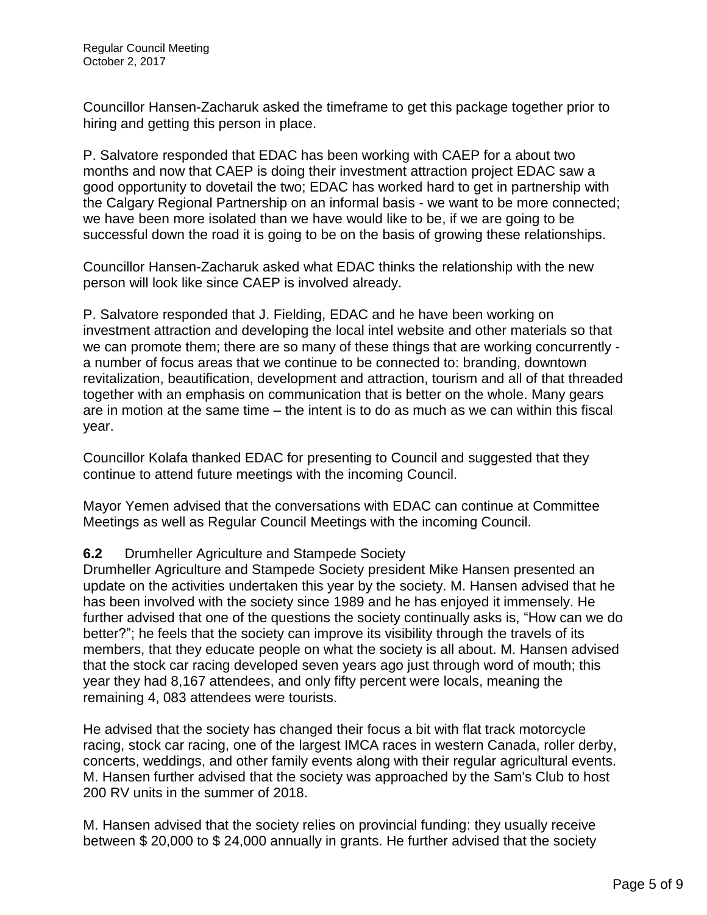Councillor Hansen-Zacharuk asked the timeframe to get this package together prior to hiring and getting this person in place.

P. Salvatore responded that EDAC has been working with CAEP for a about two months and now that CAEP is doing their investment attraction project EDAC saw a good opportunity to dovetail the two; EDAC has worked hard to get in partnership with the Calgary Regional Partnership on an informal basis - we want to be more connected; we have been more isolated than we have would like to be, if we are going to be successful down the road it is going to be on the basis of growing these relationships.

Councillor Hansen-Zacharuk asked what EDAC thinks the relationship with the new person will look like since CAEP is involved already.

P. Salvatore responded that J. Fielding, EDAC and he have been working on investment attraction and developing the local intel website and other materials so that we can promote them; there are so many of these things that are working concurrently a number of focus areas that we continue to be connected to: branding, downtown revitalization, beautification, development and attraction, tourism and all of that threaded together with an emphasis on communication that is better on the whole. Many gears are in motion at the same time – the intent is to do as much as we can within this fiscal year.

Councillor Kolafa thanked EDAC for presenting to Council and suggested that they continue to attend future meetings with the incoming Council.

Mayor Yemen advised that the conversations with EDAC can continue at Committee Meetings as well as Regular Council Meetings with the incoming Council.

## **6.2** Drumheller Agriculture and Stampede Society

Drumheller Agriculture and Stampede Society president Mike Hansen presented an update on the activities undertaken this year by the society. M. Hansen advised that he has been involved with the society since 1989 and he has enjoyed it immensely. He further advised that one of the questions the society continually asks is, "How can we do better?"; he feels that the society can improve its visibility through the travels of its members, that they educate people on what the society is all about. M. Hansen advised that the stock car racing developed seven years ago just through word of mouth; this year they had 8,167 attendees, and only fifty percent were locals, meaning the remaining 4, 083 attendees were tourists.

He advised that the society has changed their focus a bit with flat track motorcycle racing, stock car racing, one of the largest IMCA races in western Canada, roller derby, concerts, weddings, and other family events along with their regular agricultural events. M. Hansen further advised that the society was approached by the Sam's Club to host 200 RV units in the summer of 2018.

M. Hansen advised that the society relies on provincial funding: they usually receive between \$ 20,000 to \$ 24,000 annually in grants. He further advised that the society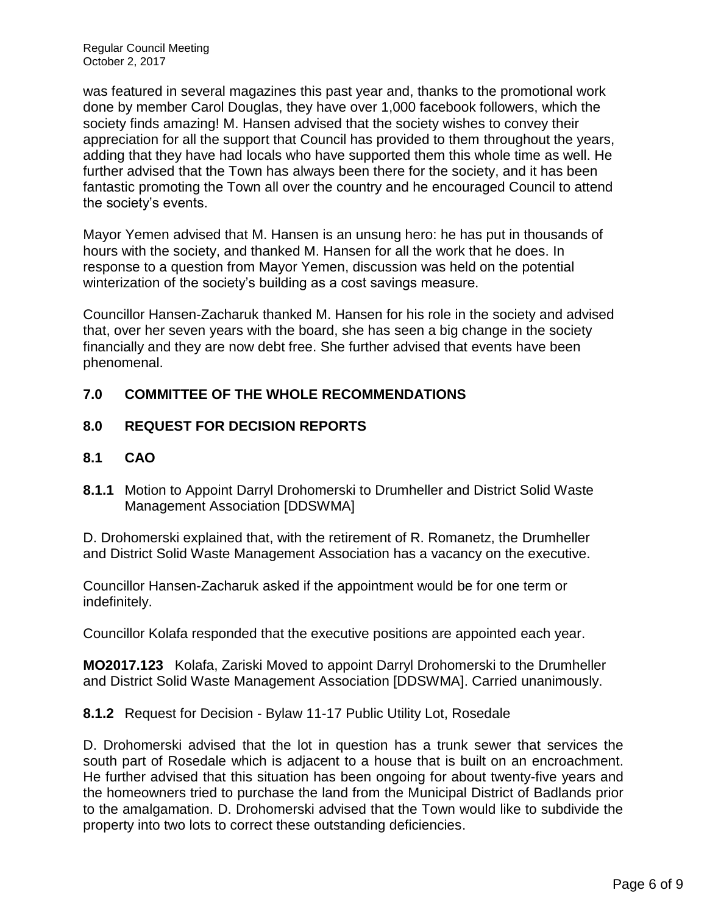was featured in several magazines this past year and, thanks to the promotional work done by member Carol Douglas, they have over 1,000 facebook followers, which the society finds amazing! M. Hansen advised that the society wishes to convey their appreciation for all the support that Council has provided to them throughout the years, adding that they have had locals who have supported them this whole time as well. He further advised that the Town has always been there for the society, and it has been fantastic promoting the Town all over the country and he encouraged Council to attend the society's events.

Mayor Yemen advised that M. Hansen is an unsung hero: he has put in thousands of hours with the society, and thanked M. Hansen for all the work that he does. In response to a question from Mayor Yemen, discussion was held on the potential winterization of the society's building as a cost savings measure.

Councillor Hansen-Zacharuk thanked M. Hansen for his role in the society and advised that, over her seven years with the board, she has seen a big change in the society financially and they are now debt free. She further advised that events have been phenomenal.

# **7.0 COMMITTEE OF THE WHOLE RECOMMENDATIONS**

# **8.0 REQUEST FOR DECISION REPORTS**

- **8.1 CAO**
- **8.1.1** Motion to Appoint Darryl Drohomerski to Drumheller and District Solid Waste Management Association [DDSWMA]

D. Drohomerski explained that, with the retirement of R. Romanetz, the Drumheller and District Solid Waste Management Association has a vacancy on the executive.

Councillor Hansen-Zacharuk asked if the appointment would be for one term or indefinitely.

Councillor Kolafa responded that the executive positions are appointed each year.

**MO2017.123** Kolafa, Zariski Moved to appoint Darryl Drohomerski to the Drumheller and District Solid Waste Management Association [DDSWMA]. Carried unanimously.

**8.1.2** Request for Decision - Bylaw 11-17 Public Utility Lot, Rosedale

D. Drohomerski advised that the lot in question has a trunk sewer that services the south part of Rosedale which is adjacent to a house that is built on an encroachment. He further advised that this situation has been ongoing for about twenty-five years and the homeowners tried to purchase the land from the Municipal District of Badlands prior to the amalgamation. D. Drohomerski advised that the Town would like to subdivide the property into two lots to correct these outstanding deficiencies.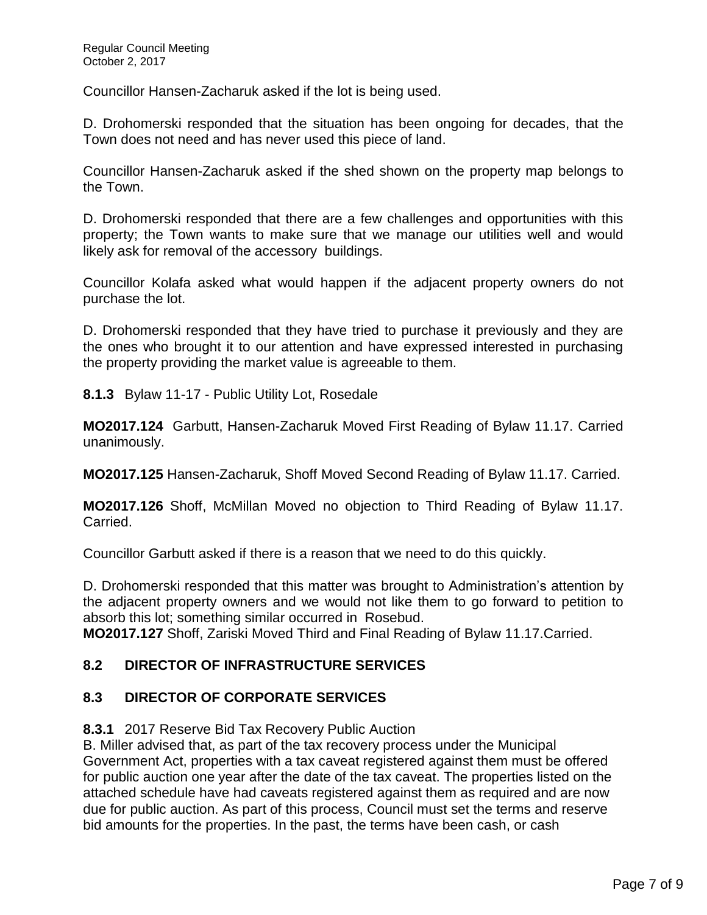Councillor Hansen-Zacharuk asked if the lot is being used.

D. Drohomerski responded that the situation has been ongoing for decades, that the Town does not need and has never used this piece of land.

Councillor Hansen-Zacharuk asked if the shed shown on the property map belongs to the Town.

D. Drohomerski responded that there are a few challenges and opportunities with this property; the Town wants to make sure that we manage our utilities well and would likely ask for removal of the accessory buildings.

Councillor Kolafa asked what would happen if the adjacent property owners do not purchase the lot.

D. Drohomerski responded that they have tried to purchase it previously and they are the ones who brought it to our attention and have expressed interested in purchasing the property providing the market value is agreeable to them.

**8.1.3** Bylaw 11-17 - Public Utility Lot, Rosedale

**MO2017.124** Garbutt, Hansen-Zacharuk Moved First Reading of Bylaw 11.17. Carried unanimously.

**MO2017.125** Hansen-Zacharuk, Shoff Moved Second Reading of Bylaw 11.17. Carried.

**MO2017.126** Shoff, McMillan Moved no objection to Third Reading of Bylaw 11.17. Carried.

Councillor Garbutt asked if there is a reason that we need to do this quickly.

D. Drohomerski responded that this matter was brought to Administration's attention by the adjacent property owners and we would not like them to go forward to petition to absorb this lot; something similar occurred in Rosebud.

**MO2017.127** Shoff, Zariski Moved Third and Final Reading of Bylaw 11.17.Carried.

### **8.2 DIRECTOR OF INFRASTRUCTURE SERVICES**

### **8.3 DIRECTOR OF CORPORATE SERVICES**

### **8.3.1** 2017 Reserve Bid Tax Recovery Public Auction

B. Miller advised that, as part of the tax recovery process under the Municipal Government Act, properties with a tax caveat registered against them must be offered for public auction one year after the date of the tax caveat. The properties listed on the attached schedule have had caveats registered against them as required and are now due for public auction. As part of this process, Council must set the terms and reserve bid amounts for the properties. In the past, the terms have been cash, or cash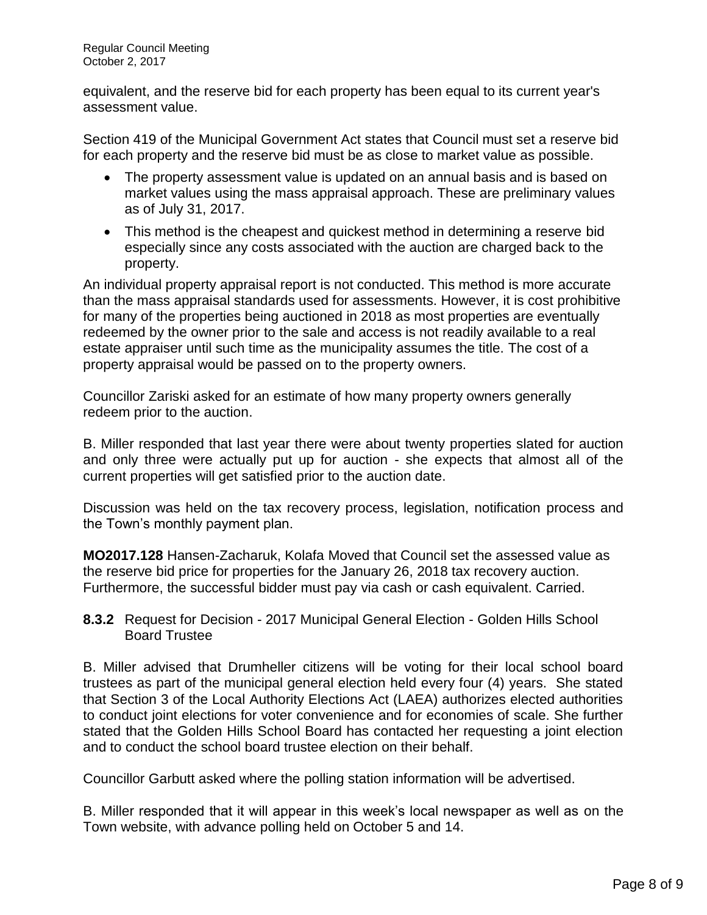equivalent, and the reserve bid for each property has been equal to its current year's assessment value.

Section 419 of the Municipal Government Act states that Council must set a reserve bid for each property and the reserve bid must be as close to market value as possible.

- The property assessment value is updated on an annual basis and is based on market values using the mass appraisal approach. These are preliminary values as of July 31, 2017.
- This method is the cheapest and quickest method in determining a reserve bid especially since any costs associated with the auction are charged back to the property.

An individual property appraisal report is not conducted. This method is more accurate than the mass appraisal standards used for assessments. However, it is cost prohibitive for many of the properties being auctioned in 2018 as most properties are eventually redeemed by the owner prior to the sale and access is not readily available to a real estate appraiser until such time as the municipality assumes the title. The cost of a property appraisal would be passed on to the property owners.

Councillor Zariski asked for an estimate of how many property owners generally redeem prior to the auction.

B. Miller responded that last year there were about twenty properties slated for auction and only three were actually put up for auction - she expects that almost all of the current properties will get satisfied prior to the auction date.

Discussion was held on the tax recovery process, legislation, notification process and the Town's monthly payment plan.

**MO2017.128** Hansen-Zacharuk, Kolafa Moved that Council set the assessed value as the reserve bid price for properties for the January 26, 2018 tax recovery auction. Furthermore, the successful bidder must pay via cash or cash equivalent. Carried.

**8.3.2** Request for Decision - 2017 Municipal General Election - Golden Hills School Board Trustee

B. Miller advised that Drumheller citizens will be voting for their local school board trustees as part of the municipal general election held every four (4) years. She stated that Section 3 of the Local Authority Elections Act (LAEA) authorizes elected authorities to conduct joint elections for voter convenience and for economies of scale. She further stated that the Golden Hills School Board has contacted her requesting a joint election and to conduct the school board trustee election on their behalf.

Councillor Garbutt asked where the polling station information will be advertised.

B. Miller responded that it will appear in this week's local newspaper as well as on the Town website, with advance polling held on October 5 and 14.